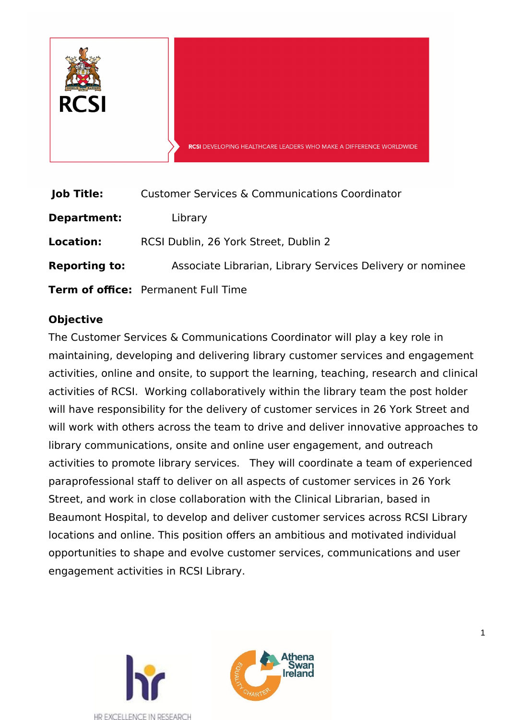

| <b>Job Title:</b>    | <b>Customer Services &amp; Communications Coordinator</b> |
|----------------------|-----------------------------------------------------------|
| Department:          | Library                                                   |
| <b>Location:</b>     | RCSI Dublin, 26 York Street, Dublin 2                     |
| <b>Reporting to:</b> | Associate Librarian, Library Services Delivery or nominee |
|                      | <b>Term of office:</b> Permanent Full Time                |

## **Objective**

The Customer Services & Communications Coordinator will play a key role in maintaining, developing and delivering library customer services and engagement activities, online and onsite, to support the learning, teaching, research and clinical activities of RCSI. Working collaboratively within the library team the post holder will have responsibility for the delivery of customer services in 26 York Street and will work with others across the team to drive and deliver innovative approaches to library communications, onsite and online user engagement, and outreach activities to promote library services. They will coordinate a team of experienced paraprofessional staff to deliver on all aspects of customer services in 26 York Street, and work in close collaboration with the Clinical Librarian, based in Beaumont Hospital, to develop and deliver customer services across RCSI Library locations and online. This position offers an ambitious and motivated individual opportunities to shape and evolve customer services, communications and user engagement activities in RCSI Library.

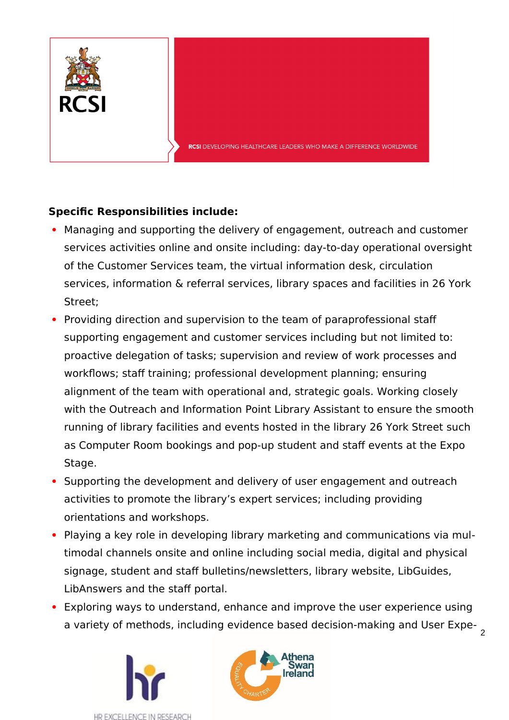

# **Specific Responsibilities include:**

- Managing and supporting the delivery of engagement, outreach and customer services activities online and onsite including: day-to-day operational oversight of the Customer Services team, the virtual information desk, circulation services, information & referral services, library spaces and facilities in 26 York Street;
- Providing direction and supervision to the team of paraprofessional staff supporting engagement and customer services including but not limited to: proactive delegation of tasks; supervision and review of work processes and workflows; staff training; professional development planning; ensuring alignment of the team with operational and, strategic goals. Working closely with the Outreach and Information Point Library Assistant to ensure the smooth running of library facilities and events hosted in the library 26 York Street such as Computer Room bookings and pop-up student and staff events at the Expo Stage.
- Supporting the development and delivery of user engagement and outreach activities to promote the library's expert services; including providing orientations and workshops.
- Playing a key role in developing library marketing and communications via multimodal channels onsite and online including social media, digital and physical signage, student and staff bulletins/newsletters, library website, LibGuides, LibAnswers and the staff portal.
- Exploring ways to understand, enhance and improve the user experience using a variety of methods, including evidence based decision-making and User Expe- 2



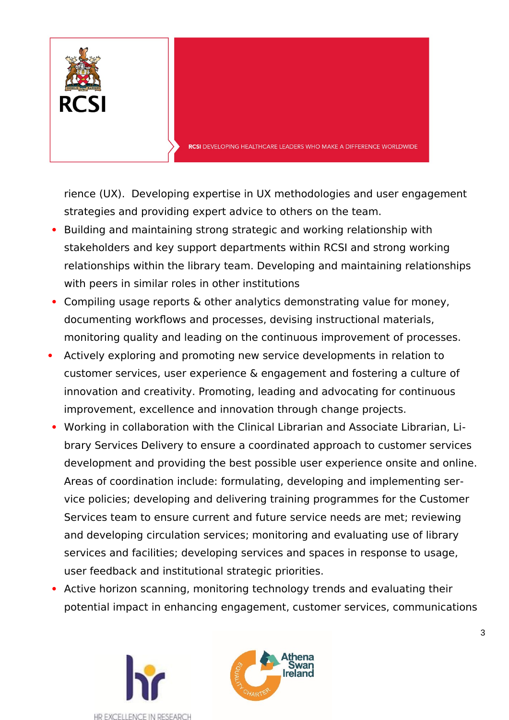

rience (UX). Developing expertise in UX methodologies and user engagement strategies and providing expert advice to others on the team.

- Building and maintaining strong strategic and working relationship with stakeholders and key support departments within RCSI and strong working relationships within the library team. Developing and maintaining relationships with peers in similar roles in other institutions
- Compiling usage reports & other analytics demonstrating value for money, documenting workflows and processes, devising instructional materials, monitoring quality and leading on the continuous improvement of processes.
- Actively exploring and promoting new service developments in relation to customer services, user experience & engagement and fostering a culture of innovation and creativity. Promoting, leading and advocating for continuous improvement, excellence and innovation through change projects.
- Working in collaboration with the Clinical Librarian and Associate Librarian, Library Services Delivery to ensure a coordinated approach to customer services development and providing the best possible user experience onsite and online. Areas of coordination include: formulating, developing and implementing service policies; developing and delivering training programmes for the Customer Services team to ensure current and future service needs are met; reviewing and developing circulation services; monitoring and evaluating use of library services and facilities; developing services and spaces in response to usage, user feedback and institutional strategic priorities.
- Active horizon scanning, monitoring technology trends and evaluating their potential impact in enhancing engagement, customer services, communications





3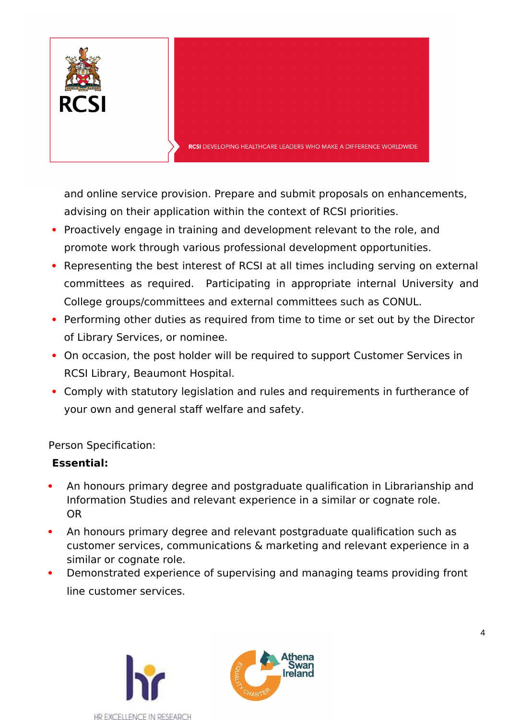

and online service provision. Prepare and submit proposals on enhancements, advising on their application within the context of RCSI priorities.

- Proactively engage in training and development relevant to the role, and promote work through various professional development opportunities.
- Representing the best interest of RCSI at all times including serving on external committees as required. Participating in appropriate internal University and College groups/committees and external committees such as CONUL.
- Performing other duties as required from time to time or set out by the Director of Library Services, or nominee.
- On occasion, the post holder will be required to support Customer Services in RCSI Library, Beaumont Hospital.
- Comply with statutory legislation and rules and requirements in furtherance of your own and general staff welfare and safety.

Person Specification:

## **Essential:**

- An honours primary degree and postgraduate qualification in Librarianship and Information Studies and relevant experience in a similar or cognate role. OR
- An honours primary degree and relevant postgraduate qualification such as customer services, communications & marketing and relevant experience in a similar or cognate role.
- Demonstrated experience of supervising and managing teams providing front line customer services.



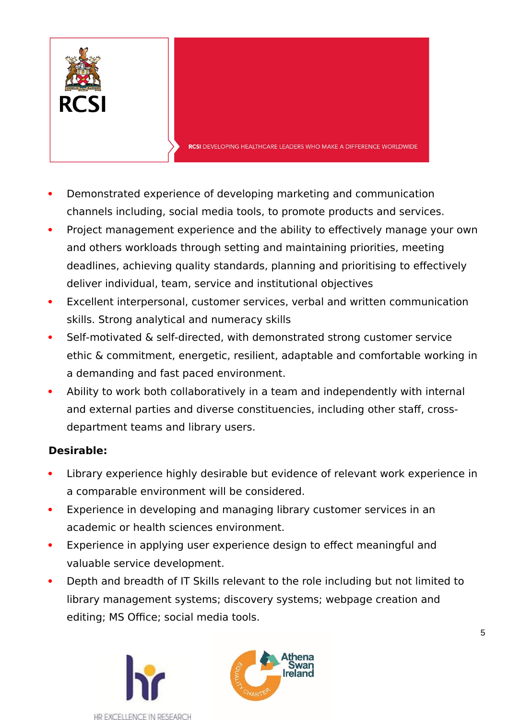

- Demonstrated experience of developing marketing and communication channels including, social media tools, to promote products and services.
- Project management experience and the ability to effectively manage your own and others workloads through setting and maintaining priorities, meeting deadlines, achieving quality standards, planning and prioritising to effectively deliver individual, team, service and institutional objectives
- Excellent interpersonal, customer services, verbal and written communication skills. Strong analytical and numeracy skills
- Self-motivated & self-directed, with demonstrated strong customer service ethic & commitment, energetic, resilient, adaptable and comfortable working in a demanding and fast paced environment.
- Ability to work both collaboratively in a team and independently with internal and external parties and diverse constituencies, including other staff, crossdepartment teams and library users.

# **Desirable:**

- Library experience highly desirable but evidence of relevant work experience in a comparable environment will be considered.
- Experience in developing and managing library customer services in an academic or health sciences environment.
- Experience in applying user experience design to effect meaningful and valuable service development.
- Depth and breadth of IT Skills relevant to the role including but not limited to library management systems; discovery systems; webpage creation and editing; MS Office; social media tools.





5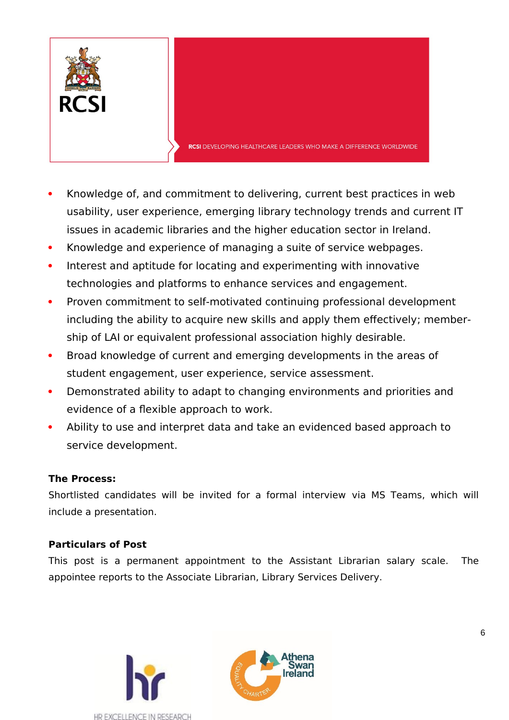

- Knowledge of, and commitment to delivering, current best practices in web usability, user experience, emerging library technology trends and current IT issues in academic libraries and the higher education sector in Ireland.
- Knowledge and experience of managing a suite of service webpages.
- Interest and aptitude for locating and experimenting with innovative technologies and platforms to enhance services and engagement.
- Proven commitment to self-motivated continuing professional development including the ability to acquire new skills and apply them effectively; membership of LAI or equivalent professional association highly desirable.
- Broad knowledge of current and emerging developments in the areas of student engagement, user experience, service assessment.
- Demonstrated ability to adapt to changing environments and priorities and evidence of a flexible approach to work.
- Ability to use and interpret data and take an evidenced based approach to service development.

## **The Process:**

Shortlisted candidates will be invited for a formal interview via MS Teams, which will include a presentation.

# **Particulars of Post**

This post is a permanent appointment to the Assistant Librarian salary scale. The appointee reports to the Associate Librarian, Library Services Delivery.



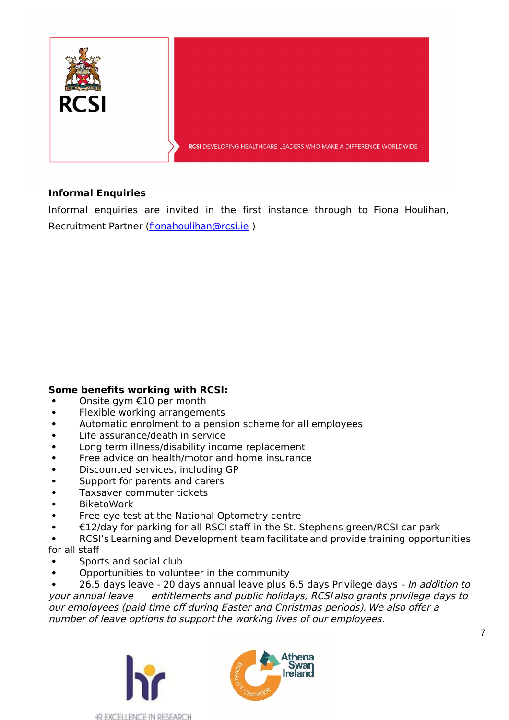

### **Informal Enquiries**

Informal enquiries are invited in the first instance through to Fiona Houlihan, Recruitment Partner ([fionahoulihan@rcsi.ie](mailto:fionahoulihan@rcsi.ie) )

#### **Some benefits working with RCSI:**

- Onsite gym €10 per month
- Flexible working arrangements
- Automatic enrolment to a pension scheme for all employees
- Life assurance/death in service
- Long term illness/disability income replacement
- Free advice on health/motor and home insurance
- Discounted services, including GP
- Support for parents and carers
- Taxsaver commuter tickets
- BiketoWork
- Free eye test at the National Optometry centre
- €12/day for parking for all RSCI staff in the St. Stephens green/RCSI car park
- RCSI's Learning and Development team facilitate and provide training opportunities for all staff
- Sports and social club
- Opportunities to volunteer in the community

26.5 days leave - 20 days annual leave plus 6.5 days Privilege days - In addition to your annual leave entitlements and public holidays, RCSI also grants privilege days to our employees (paid time off during Easter and Christmas periods). We also offer a number of leave options to support the working lives of our employees.





7